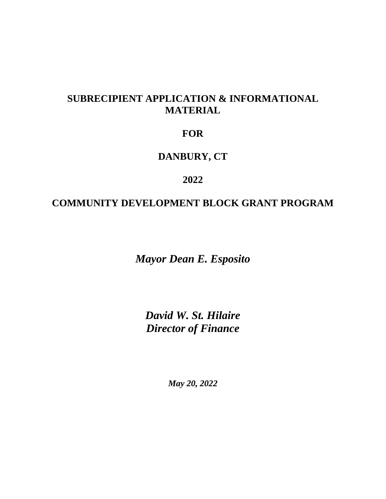# **SUBRECIPIENT APPLICATION & INFORMATIONAL MATERIAL**

# **FOR**

# **DANBURY, CT**

# **2022**

# **COMMUNITY DEVELOPMENT BLOCK GRANT PROGRAM**

*Mayor Dean E. Esposito*

*David W. St. Hilaire Director of Finance*

*May 20, 2022*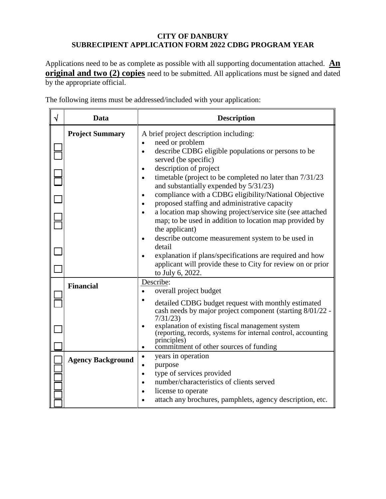### **CITY OF DANBURY SUBRECIPIENT APPLICATION FORM 2022 CDBG PROGRAM YEAR**

Applications need to be as complete as possible with all supporting documentation attached. **An original and two (2) copies** need to be submitted. All applications must be signed and dated by the appropriate official.

| √ | Data                     | <b>Description</b>                                                                                                                                                                                                                                                                                                                                                                                                                                                                                                                                                                                                                                                                                                                                                                                                       |  |  |  |  |
|---|--------------------------|--------------------------------------------------------------------------------------------------------------------------------------------------------------------------------------------------------------------------------------------------------------------------------------------------------------------------------------------------------------------------------------------------------------------------------------------------------------------------------------------------------------------------------------------------------------------------------------------------------------------------------------------------------------------------------------------------------------------------------------------------------------------------------------------------------------------------|--|--|--|--|
|   | <b>Project Summary</b>   | A brief project description including:<br>need or problem<br>$\bullet$<br>describe CDBG eligible populations or persons to be<br>$\bullet$<br>served (be specific)<br>description of project<br>$\bullet$<br>timetable (project to be completed no later than 7/31/23<br>$\bullet$<br>and substantially expended by 5/31/23)<br>compliance with a CDBG eligibility/National Objective<br>$\bullet$<br>proposed staffing and administrative capacity<br>a location map showing project/service site (see attached<br>map; to be used in addition to location map provided by<br>the applicant)<br>describe outcome measurement system to be used in<br>$\bullet$<br>detail<br>explanation if plans/specifications are required and how<br>applicant will provide these to City for review on or prior<br>to July 6, 2022. |  |  |  |  |
|   | <b>Financial</b>         | Describe:<br>overall project budget<br>detailed CDBG budget request with monthly estimated<br>cash needs by major project component (starting 8/01/22 -<br>7/31/23<br>explanation of existing fiscal management system<br>$\bullet$<br>(reporting, records, systems for internal control, accounting<br>principles)<br>commitment of other sources of funding<br>$\bullet$                                                                                                                                                                                                                                                                                                                                                                                                                                               |  |  |  |  |
|   | <b>Agency Background</b> | years in operation<br>$\bullet$<br>purpose<br>$\bullet$<br>type of services provided<br>$\bullet$<br>number/characteristics of clients served<br>$\bullet$<br>license to operate<br>attach any brochures, pamphlets, agency description, etc.                                                                                                                                                                                                                                                                                                                                                                                                                                                                                                                                                                            |  |  |  |  |

The following items must be addressed/included with your application: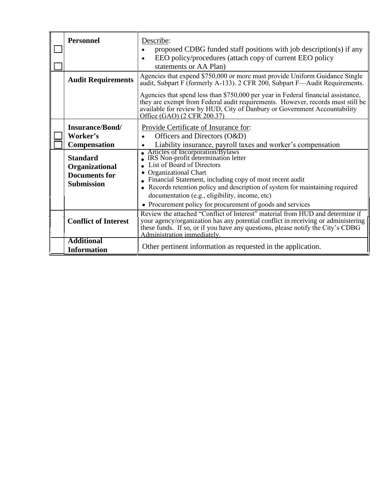| <b>Personnel</b>                                                                                                                     | Describe:<br>proposed CDBG funded staff positions with job description(s) if any<br>$\bullet$<br>EEO policy/procedures (attach copy of current EEO policy<br>$\bullet$<br>statements or AA Plan)                                                                                                                                                                                                                                                                                                                                             |
|--------------------------------------------------------------------------------------------------------------------------------------|----------------------------------------------------------------------------------------------------------------------------------------------------------------------------------------------------------------------------------------------------------------------------------------------------------------------------------------------------------------------------------------------------------------------------------------------------------------------------------------------------------------------------------------------|
| <b>Audit Requirements</b>                                                                                                            | Agencies that expend \$750,000 or more must provide Uniform Guidance Single<br>audit, Subpart F (formerly A-133). 2 CFR 200, Subpart F—Audit Requirements.<br>Agencies that spend less than \$750,000 per year in Federal financial assistance,<br>they are exempt from Federal audit requirements. However, records must still be<br>available for review by HUD, City of Danbury or Government Accountability<br>Office (GAO) (2 CFR 200.37)                                                                                               |
| <b>Insurance/Bond/</b><br>Worker's<br>Compensation<br><b>Standard</b><br>Organizational<br><b>Documents for</b><br><b>Submission</b> | Provide Certificate of Insurance for:<br>Officers and Directors (O&D)<br>Liability insurance, payroll taxes and worker's compensation<br>Articles of Incorporation/Bylaws<br>IRS Non-profit determination letter<br>List of Board of Directors<br><b>Organizational Chart</b><br>• Financial Statement, including copy of most recent audit<br>• Records retention policy and description of system for maintaining required<br>documentation (e.g., eligibility, income, etc)<br>• Procurement policy for procurement of goods and services |
| <b>Conflict of Interest</b>                                                                                                          | Review the attached "Conflict of Interest" material from HUD and determine if<br>your agency/organization has any potential conflict in receiving or administering<br>these funds. If so, or if you have any questions, please notify the City's CDBG<br>Administration immediately.                                                                                                                                                                                                                                                         |
| <b>Additional</b><br><b>Information</b>                                                                                              | Other pertinent information as requested in the application.                                                                                                                                                                                                                                                                                                                                                                                                                                                                                 |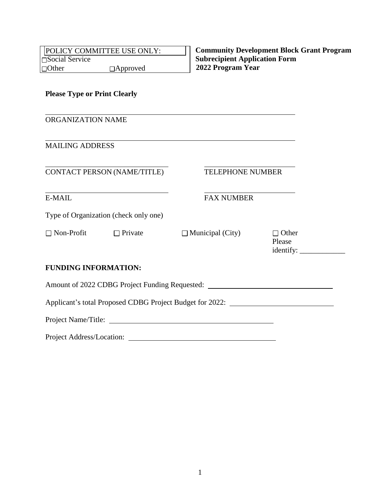| POLICY COMMITTEE USE ONLY:<br>□Social Service |                                       |                                                                                                                       | <b>Community Development Block Grant Program</b><br><b>Subrecipient Application Form</b> |  |  |  |
|-----------------------------------------------|---------------------------------------|-----------------------------------------------------------------------------------------------------------------------|------------------------------------------------------------------------------------------|--|--|--|
|                                               | $\Box$ Other $\Box$ Approved          | 2022 Program Year                                                                                                     |                                                                                          |  |  |  |
| <b>Please Type or Print Clearly</b>           |                                       |                                                                                                                       |                                                                                          |  |  |  |
| ORGANIZATION NAME                             |                                       | <u> 1989 - Johann Barn, mars ann an t-Amhain an t-Amhain ann an t-Amhain an t-Amhain an t-Amhain an t-Amhain ann </u> |                                                                                          |  |  |  |
| <b>MAILING ADDRESS</b>                        |                                       |                                                                                                                       |                                                                                          |  |  |  |
|                                               | CONTACT PERSON (NAME/TITLE)           | <b>TELEPHONE NUMBER</b>                                                                                               |                                                                                          |  |  |  |
| E-MAIL                                        |                                       | <b>FAX NUMBER</b>                                                                                                     |                                                                                          |  |  |  |
|                                               | Type of Organization (check only one) |                                                                                                                       |                                                                                          |  |  |  |
| $\Box$ Non-Profit                             | $\Box$ Private                        | $\Box$ Municipal (City)                                                                                               | $\Box$ Other<br>Please                                                                   |  |  |  |
| <b>FUNDING INFORMATION:</b>                   |                                       |                                                                                                                       |                                                                                          |  |  |  |
|                                               |                                       | Amount of 2022 CDBG Project Funding Requested: __________________________________                                     |                                                                                          |  |  |  |
|                                               |                                       | Applicant's total Proposed CDBG Project Budget for 2022: ________________________                                     |                                                                                          |  |  |  |
|                                               |                                       |                                                                                                                       |                                                                                          |  |  |  |
| Project Address/Location:                     |                                       | <u> 1989 - Johann Barn, fransk politik (f. 1989)</u>                                                                  |                                                                                          |  |  |  |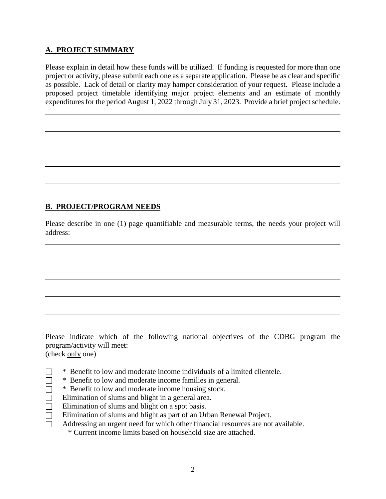## **A. PROJECT SUMMARY**

 $\overline{a}$ 

 $\overline{a}$ 

 $\overline{a}$ 

 $\overline{a}$ 

 $\overline{a}$ 

 $\overline{a}$ 

 $\overline{a}$ 

 $\overline{a}$ 

 $\overline{a}$ 

 $\overline{a}$ 

 $\Box$  $\Box$  $\Box$ 

Please explain in detail how these funds will be utilized. If funding is requested for more than one project or activity, please submit each one as a separate application. Please be as clear and specific as possible. Lack of detail or clarity may hamper consideration of your request. Please include a proposed project timetable identifying major project elements and an estimate of monthly expenditures for the period August 1, 2022 through July 31, 2023. Provide a brief project schedule.

## **B. PROJECT/PROGRAM NEEDS**

Please describe in one (1) page quantifiable and measurable terms, the needs your project will address:

Please indicate which of the following national objectives of the CDBG program the program/activity will meet:

(check only one)

- \* Benefit to low and moderate income individuals of a limited clientele.
- \* Benefit to low and moderate income families in general.
- \* Benefit to low and moderate income housing stock.
- Elimination of slums and blight in a general area.  $\Box$
- Elimination of slums and blight on a spot basis.  $\Box$
- Elimination of slums and blight as part of an Urban Renewal Project.  $\Box$
- Addressing an urgent need for which other financial resources are not available.  $\Box$ 
	- \* Current income limits based on household size are attached.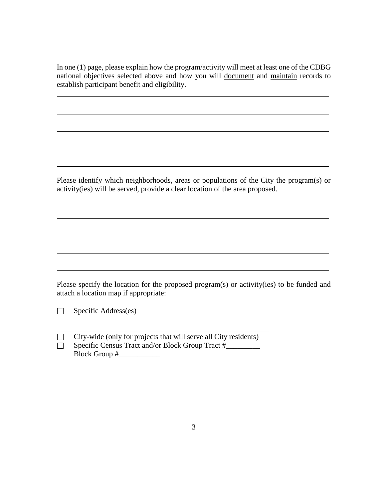In one (1) page, please explain how the program/activity will meet at least one of the CDBG national objectives selected above and how you will document and maintain records to establish participant benefit and eligibility.

 $\overline{a}$ 

 $\overline{a}$ 

Please identify which neighborhoods, areas or populations of the City the program(s) or activity(ies) will be served, provide a clear location of the area proposed.

Please specify the location for the proposed program(s) or activity(ies) to be funded and attach a location map if appropriate:

Specific Address(es)  $\Box$ 

 $\overline{a}$ 

 $\overline{a}$ 

 $\overline{a}$ 

 $\overline{a}$ 

 $\overline{a}$ 

 $\overline{a}$ 

 $\overline{a}$ 

 $\overline{a}$ 

 $\Box$  $\Box$  City-wide (only for projects that will serve all City residents) Specific Census Tract and/or Block Group Tract #\_\_\_\_\_\_\_\_\_ Block Group #\_\_\_\_\_\_\_\_\_\_\_

\_\_\_\_\_\_\_\_\_\_\_\_\_\_\_\_\_\_\_\_\_\_\_\_\_\_\_\_\_\_\_\_\_\_\_\_\_\_\_\_\_\_\_\_\_\_\_\_\_\_\_\_\_\_\_\_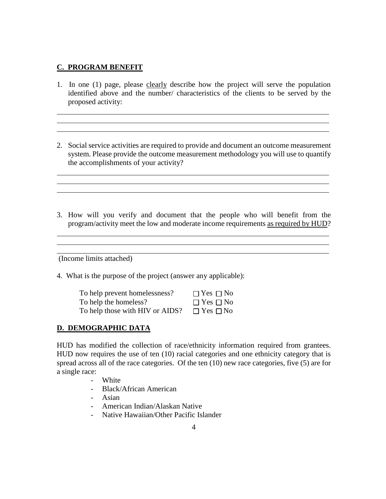### **C. PROGRAM BENEFIT**

 $\overline{a}$  $\overline{a}$  $\overline{a}$ 

l l  $\overline{a}$ 

 $\overline{a}$  $\overline{a}$ l

1. In one (1) page, please clearly describe how the project will serve the population identified above and the number/ characteristics of the clients to be served by the proposed activity:

<u> 1989 - Johann Stoff, amerikansk politiker (d. 1989)</u>

- 2. Social service activities are required to provide and document an outcome measurement system. Please provide the outcome measurement methodology you will use to quantify the accomplishments of your activity?
- 3. How will you verify and document that the people who will benefit from the program/activity meet the low and moderate income requirements as required by HUD?

(Income limits attached)

4. What is the purpose of the project (answer any applicable):

| To help prevent homelessness?   | $\Box$ Yes $\Box$ No |
|---------------------------------|----------------------|
| To help the homeless?           | $\Box$ Yes $\Box$ No |
| To help those with HIV or AIDS? | $\Box$ Yes $\Box$ No |

### **D. DEMOGRAPHIC DATA**

HUD has modified the collection of race/ethnicity information required from grantees. HUD now requires the use of ten (10) racial categories and one ethnicity category that is spread across all of the race categories. Of the ten (10) new race categories, five (5) are for a single race:

- White
- Black/African American
- Asian
- American Indian/Alaskan Native
- Native Hawaiian/Other Pacific Islander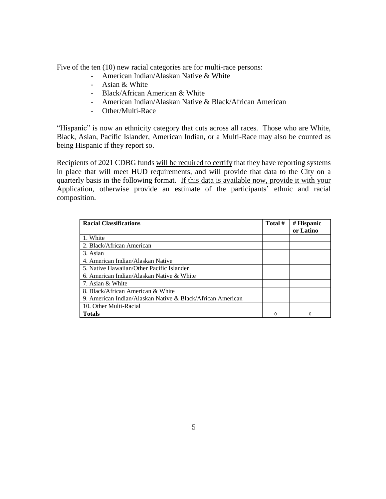Five of the ten (10) new racial categories are for multi-race persons:

- American Indian/Alaskan Native & White
- Asian & White
- Black/African American & White
- American Indian/Alaskan Native & Black/African American
- Other/Multi-Race

"Hispanic" is now an ethnicity category that cuts across all races. Those who are White, Black, Asian, Pacific Islander, American Indian, or a Multi-Race may also be counted as being Hispanic if they report so.

Recipients of 2021 CDBG funds will be required to certify that they have reporting systems in place that will meet HUD requirements, and will provide that data to the City on a quarterly basis in the following format. If this data is available now, provide it with your Application, otherwise provide an estimate of the participants' ethnic and racial composition.

| <b>Racial Classifications</b>                              | Total #  | # Hispanic |
|------------------------------------------------------------|----------|------------|
|                                                            |          | or Latino  |
| 1. White                                                   |          |            |
| 2. Black/African American                                  |          |            |
| 3. Asian                                                   |          |            |
| 4. American Indian/Alaskan Native                          |          |            |
| 5. Native Hawaiian/Other Pacific Islander                  |          |            |
| 6. American Indian/Alaskan Native & White                  |          |            |
| 7. Asian & White                                           |          |            |
| 8. Black/African American & White                          |          |            |
| 9. American Indian/Alaskan Native & Black/African American |          |            |
| 10. Other Multi-Racial                                     |          |            |
| <b>Totals</b>                                              | $\Omega$ | $\Omega$   |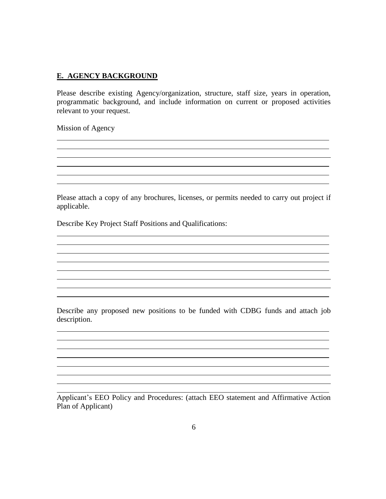#### **E. AGENCY BACKGROUND**

Please describe existing Agency/organization, structure, staff size, years in operation, programmatic background, and include information on current or proposed activities relevant to your request.

Mission of Agency

 $\overline{a}$  $\overline{a}$  $\overline{a}$ l l l

 $\overline{a}$  $\overline{a}$ l l

 $\overline{a}$  $\overline{a}$ l

 $\overline{a}$ l l l

 $\overline{a}$  $\overline{a}$ l

Please attach a copy of any brochures, licenses, or permits needed to carry out project if applicable.

<u> 1989 - Johann Stein, marwolaethau a bhann an t-Amhainn an t-Amhainn an t-Amhainn an t-Amhainn an t-Amhainn a</u>

Describe Key Project Staff Positions and Qualifications:

Describe any proposed new positions to be funded with CDBG funds and attach job description.

Applicant's EEO Policy and Procedures: (attach EEO statement and Affirmative Action Plan of Applicant)

<u> 1989 - Johann Stoff, fransk politik (f. 1989)</u>

 $\overline{a}$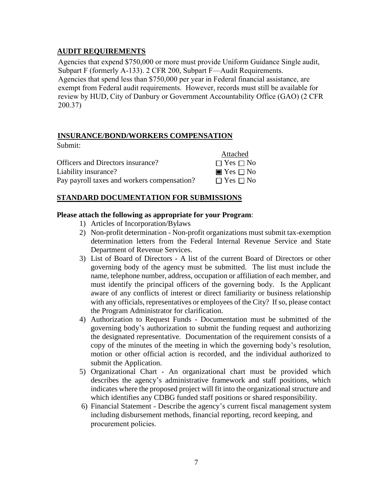### **AUDIT REQUIREMENTS**

Submit:

Agencies that expend \$750,000 or more must provide Uniform Guidance Single audit, Subpart F (formerly A-133). 2 CFR 200, Subpart F—Audit Requirements. Agencies that spend less than \$750,000 per year in Federal financial assistance, are exempt from Federal audit requirements. However, records must still be available for review by HUD, City of Danbury or Government Accountability Office (GAO) (2 CFR 200.37)

### **INSURANCE/BOND/WORKERS COMPENSATION**

| wuviille.                                   |                              |
|---------------------------------------------|------------------------------|
|                                             | Attached                     |
| Officers and Directors insurance?           | $\Box$ Yes $\Box$ No         |
| Liability insurance?                        | $\blacksquare$ Yes $\Box$ No |
| Pay payroll taxes and workers compensation? | $\Box$ Yes $\Box$ No         |

### **STANDARD DOCUMENTATION FOR SUBMISSIONS**

#### **Please attach the following as appropriate for your Program**:

- 1) Articles of Incorporation/Bylaws
- 2) Non-profit determination Non-profit organizations must submit tax-exemption determination letters from the Federal Internal Revenue Service and State Department of Revenue Services.
- 3) List of Board of Directors A list of the current Board of Directors or other governing body of the agency must be submitted. The list must include the name, telephone number, address, occupation or affiliation of each member, and must identify the principal officers of the governing body. Is the Applicant aware of any conflicts of interest or direct familiarity or business relationship with any officials, representatives or employees of the City? If so, please contact the Program Administrator for clarification.
- 4) Authorization to Request Funds Documentation must be submitted of the governing body's authorization to submit the funding request and authorizing the designated representative. Documentation of the requirement consists of a copy of the minutes of the meeting in which the governing body's resolution, motion or other official action is recorded, and the individual authorized to submit the Application.
- 5) Organizational Chart An organizational chart must be provided which describes the agency's administrative framework and staff positions, which indicates where the proposed project will fit into the organizational structure and which identifies any CDBG funded staff positions or shared responsibility.
- 6) Financial Statement Describe the agency's current fiscal management system including disbursement methods, financial reporting, record keeping, and procurement policies.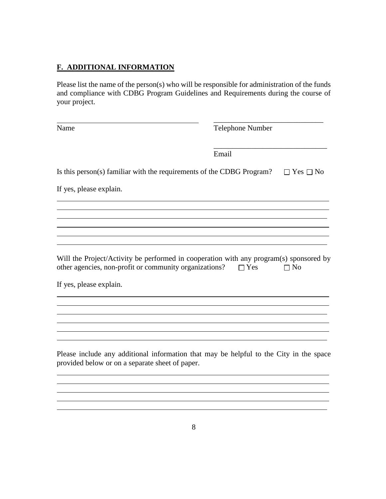# **F. ADDITIONAL INFORMATION**

Please list the name of the person(s) who will be responsible for administration of the funds and compliance with CDBG Program Guidelines and Requirements during the course of your project.

| Name                                                                                                                                             | <b>Telephone Number</b> |                      |  |  |
|--------------------------------------------------------------------------------------------------------------------------------------------------|-------------------------|----------------------|--|--|
|                                                                                                                                                  | Email                   |                      |  |  |
| Is this person(s) familiar with the requirements of the CDBG Program?                                                                            |                         | $\Box$ Yes $\Box$ No |  |  |
| If yes, please explain.                                                                                                                          |                         |                      |  |  |
|                                                                                                                                                  |                         |                      |  |  |
|                                                                                                                                                  |                         |                      |  |  |
| Will the Project/Activity be performed in cooperation with any program(s) sponsored by<br>other agencies, non-profit or community organizations? | $\Box$ Yes              | $\Box$ No            |  |  |
| If yes, please explain.                                                                                                                          |                         |                      |  |  |
|                                                                                                                                                  |                         |                      |  |  |
|                                                                                                                                                  |                         |                      |  |  |
| Please include any additional information that may be helpful to the City in the space<br>provided below or on a separate sheet of paper.        |                         |                      |  |  |
|                                                                                                                                                  |                         |                      |  |  |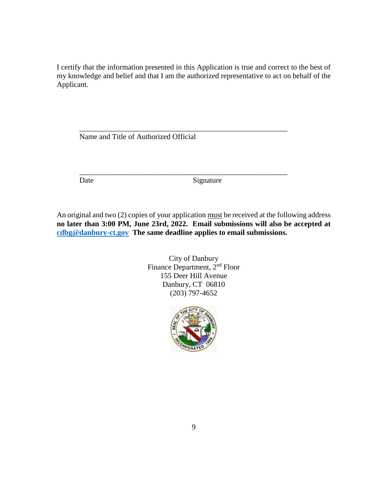I certify that the information presented in this Application is true and correct to the best of my knowledge and belief and that I am the authorized representative to act on behalf of the Applicant.

\_\_\_\_\_\_\_\_\_\_\_\_\_\_\_\_\_\_\_\_\_\_\_\_\_\_\_\_\_\_\_\_\_\_\_\_\_\_\_\_\_\_\_\_\_\_\_\_\_\_\_\_\_\_\_

\_\_\_\_\_\_\_\_\_\_\_\_\_\_\_\_\_\_\_\_\_\_\_\_\_\_\_\_\_\_\_\_\_\_\_\_\_\_\_\_\_\_\_\_\_\_\_\_\_\_\_\_\_\_\_

Name and Title of Authorized Official

Date Signature

An original and two (2) copies of your application must be received at the following address **no later than 3:00 PM, June 23rd, 2022. Email submissions will also be accepted at [cdbg@danbury-ct.gov](mailto:cdbg@danbury-ct.gov) The same deadline applies to email submissions.**

> City of Danbury Finance Department, 2nd Floor 155 Deer Hill Avenue Danbury, CT 06810 (203) 797-4652